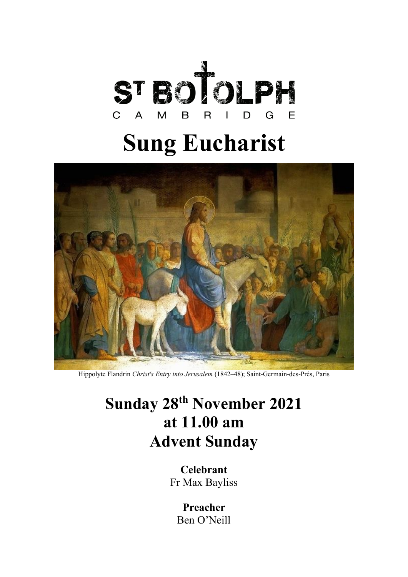

# **Sung Eucharist**



Hippolyte Flandrin *Christ's Entry into Jerusalem* (1842–48); Saint-Germain-des-Prés, Paris

## **Sunday 28th November 2021 at 11.00 am Advent Sunday**

**Celebrant** Fr Max Bayliss

> **Preacher**  Ben O'Neill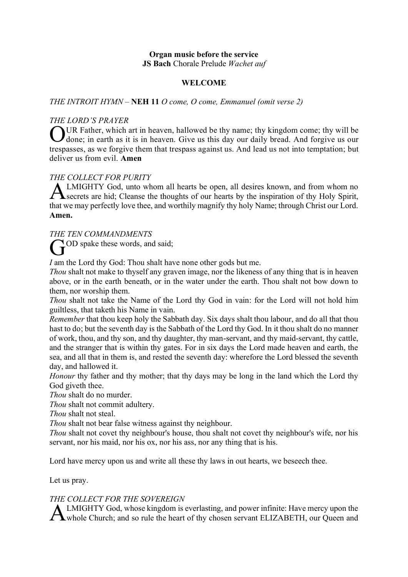#### **Organ music before the service JS Bach** Chorale Prelude *Wachet auf*

#### **WELCOME**

#### *THE INTROIT HYMN –* **NEH 11** *O come, O come, Emmanuel (omit verse 2)*

#### *THE LORD'S PRAYER*

OUR Father, which art in heaven, hallowed be thy name; thy kingdom come; thy will be done; in earth as it is in heaven. Give us this day our daily bread. And forgive us our J done; in earth as it is in heaven. Give us this day our daily bread. And forgive us our trespasses, as we forgive them that trespass against us. And lead us not into temptation; but deliver us from evil. **Amen**

#### *THE COLLECT FOR PURITY*

LMIGHTY God, unto whom all hearts be open, all desires known, and from whom no **ALMIGHTY God, unto whom all hearts be open, all desires known, and from whom no** secrets are hid; Cleanse the thoughts of our hearts by the inspiration of thy Holy Spirit, that we may perfectly love thee, and worthily magnify thy holy Name; through Christ our Lord. **Amen.** 

*THE TEN COMMANDMENTS*

GOD spake these words, and said;

*I* am the Lord thy God: Thou shalt have none other gods but me.

*Thou* shalt not make to thyself any graven image, nor the likeness of any thing that is in heaven above, or in the earth beneath, or in the water under the earth. Thou shalt not bow down to them, nor worship them.

*Thou* shalt not take the Name of the Lord thy God in vain: for the Lord will not hold him guiltless, that taketh his Name in vain.

*Remember* that thou keep holy the Sabbath day. Six days shalt thou labour, and do all that thou hast to do; but the seventh day is the Sabbath of the Lord thy God. In it thou shalt do no manner of work, thou, and thy son, and thy daughter, thy man-servant, and thy maid-servant, thy cattle, and the stranger that is within thy gates. For in six days the Lord made heaven and earth, the sea, and all that in them is, and rested the seventh day: wherefore the Lord blessed the seventh day, and hallowed it.

*Honour* thy father and thy mother; that thy days may be long in the land which the Lord thy God giveth thee.

*Thou* shalt do no murder.

*Thou* shalt not commit adultery.

*Thou* shalt not steal.

*Thou* shalt not bear false witness against thy neighbour.

*Thou* shalt not covet thy neighbour's house, thou shalt not covet thy neighbour's wife, nor his servant, nor his maid, nor his ox, nor his ass, nor any thing that is his.

Lord have mercy upon us and write all these thy laws in out hearts, we beseech thee.

Let us pray.

#### *THE COLLECT FOR THE SOVEREIGN*

LMIGHTY God, whose kingdom is everlasting, and power infinite: Have mercy upon the A LMIGHTY God, whose kingdom is everlasting, and power infinite: Have mercy upon the whole Church; and so rule the heart of thy chosen servant ELIZABETH, our Queen and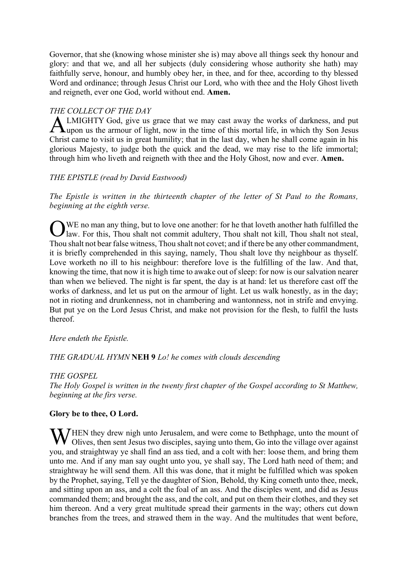Governor, that she (knowing whose minister she is) may above all things seek thy honour and glory: and that we, and all her subjects (duly considering whose authority she hath) may faithfully serve, honour, and humbly obey her, in thee, and for thee, according to thy blessed Word and ordinance; through Jesus Christ our Lord, who with thee and the Holy Ghost liveth and reigneth, ever one God, world without end. **Amen.**

#### *THE COLLECT OF THE DAY*

**ALMIGHTY God, give us grace that we may cast away the works of darkness, and put** upon us the armour of light, now in the time of this mortal life, in which thy Son Jesus upon us the armour of light, now in the time of this mortal life, in which thy Son Jesus Christ came to visit us in great humility; that in the last day, when he shall come again in his glorious Majesty, to judge both the quick and the dead, we may rise to the life immortal; through him who liveth and reigneth with thee and the Holy Ghost, now and ever. **Amen.**

### *THE EPISTLE (read by David Eastwood)*

*The Epistle is written in the thirteenth chapter of the letter of St Paul to the Romans, beginning at the eighth verse.*

WE no man any thing, but to love one another: for he that loveth another hath fulfilled the law. For this, Thou shalt not commit adultery, Thou shalt not kill, Thou shalt not steal, Thou shalt not bear false witness, Thou shalt not covet; and if there be any other commandment, it is briefly comprehended in this saying, namely, Thou shalt love thy neighbour as thyself. Love worketh no ill to his neighbour: therefore love is the fulfilling of the law. And that, knowing the time, that now it is high time to awake out of sleep: for now is our salvation nearer than when we believed. The night is far spent, the day is at hand: let us therefore cast off the works of darkness, and let us put on the armour of light. Let us walk honestly, as in the day; not in rioting and drunkenness, not in chambering and wantonness, not in strife and envying. But put ye on the Lord Jesus Christ, and make not provision for the flesh, to fulfil the lusts thereof. O

#### *Here endeth the Epistle.*

#### *THE GRADUAL HYMN* **NEH 9** *Lo! he comes with clouds descending*

#### *THE GOSPEL*

*The Holy Gospel is written in the twenty first chapter of the Gospel according to St Matthew, beginning at the firs verse.*

#### **Glory be to thee, O Lord.**

WHEN they drew nigh unto Jerusalem, and were come to Bethphage, unto the mount of Olives, then sent Jesus two disciples, saying unto them, Go into the village over against Olives, then sent Jesus two disciples, saying unto them, Go into the village over against you, and straightway ye shall find an ass tied, and a colt with her: loose them, and bring them unto me. And if any man say ought unto you, ye shall say, The Lord hath need of them; and straightway he will send them. All this was done, that it might be fulfilled which was spoken by the Prophet, saying, Tell ye the daughter of Sion, Behold, thy King cometh unto thee, meek, and sitting upon an ass, and a colt the foal of an ass. And the disciples went, and did as Jesus commanded them; and brought the ass, and the colt, and put on them their clothes, and they set him thereon. And a very great multitude spread their garments in the way; others cut down branches from the trees, and strawed them in the way. And the multitudes that went before,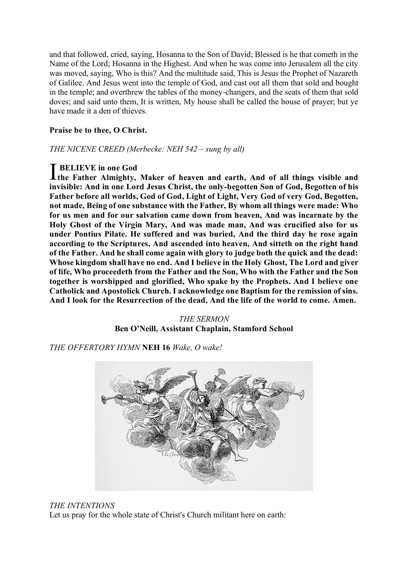and that followed, cried, saying, Hosanna to the Son of David; Blessed is he that cometh in the Name of the Lord; Hosanna in the Highest. And when he was come into Jerusalem all the city was moved, saying, Who is this? And the multitude said, This is Jesus the Prophet of Nazareth of Galilee. And Jesus went into the temple of God, and cast out all them that sold and bought in the temple; and overthrew the tables of the money-changers, and the seats of them that sold doves; and said unto them, It is written, My house shall be called the house of prayer; but ye have made it a den of thieves.

#### **Praise be to thee, O Christ.**

*THE NICENE CREED (Merbecke: NEH 542 – sung by all)*

**BELIEVE in one God**  I**the Father Almighty, Maker of heaven and earth, And of all things visible and invisible: And in one Lord Jesus Christ, the only-begotten Son of God, Begotten of his Father before all worlds, God of God, Light of Light, Very God of very God, Begotten, not made, Being of one substance with the Father, By whom all things were made: Who for us men and for our salvation came down from heaven, And was incarnate by the Holy Ghost of the Virgin Mary, And was made man, And was crucified also for us under Pontius Pilate. He suffered and was buried, And the third day he rose again according to the Scriptures, And ascended into heaven, And sitteth on the right hand of the Father. And he shall come again with glory to judge both the quick and the dead: Whose kingdom shall have no end. And I believe in the Holy Ghost, The Lord and giver of life, Who proceedeth from the Father and the Son, Who with the Father and the Son together is worshipped and glorified, Who spake by the Prophets. And I believe one Catholick and Apostolick Church. I acknowledge one Baptism for the remission of sins. And I look for the Resurrection of the dead, And the life of the world to come. Amen.**

*THE SERMON* **Ben O'Neill, Assistant Chaplain, Stamford School**

*THE OFFERTORY HYMN* **NEH 16** *Wake, O wake!*



#### *THE INTENTIONS*

Let us pray for the whole state of Christ's Church militant here on earth: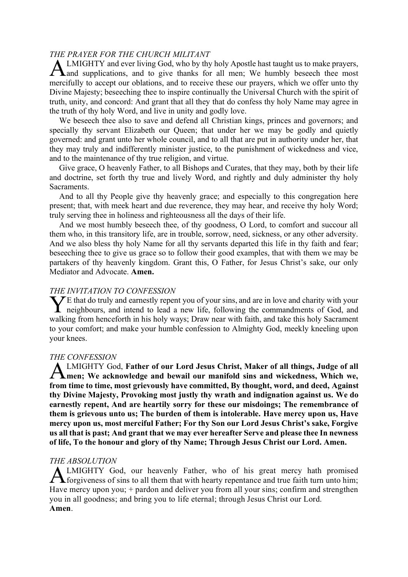#### *THE PRAYER FOR THE CHURCH MILITANT*

LMIGHTY and ever living God, who by thy holy Apostle hast taught us to make prayers, and supplications, and to give thanks for all men; We humbly beseech thee most mercifully to accept our oblations, and to receive these our prayers, which we offer unto thy Divine Majesty; beseeching thee to inspire continually the Universal Church with the spirit of truth, unity, and concord: And grant that all they that do confess thy holy Name may agree in the truth of thy holy Word, and live in unity and godly love. A

We beseech thee also to save and defend all Christian kings, princes and governors; and specially thy servant Elizabeth our Queen; that under her we may be godly and quietly governed: and grant unto her whole council, and to all that are put in authority under her, that they may truly and indifferently minister justice, to the punishment of wickedness and vice, and to the maintenance of thy true religion, and virtue.

Give grace, O heavenly Father, to all Bishops and Curates, that they may, both by their life and doctrine, set forth thy true and lively Word, and rightly and duly administer thy holy Sacraments.

And to all thy People give thy heavenly grace; and especially to this congregation here present; that, with meek heart and due reverence, they may hear, and receive thy holy Word; truly serving thee in holiness and righteousness all the days of their life.

And we most humbly beseech thee, of thy goodness, O Lord, to comfort and succour all them who, in this transitory life, are in trouble, sorrow, need, sickness, or any other adversity. And we also bless thy holy Name for all thy servants departed this life in thy faith and fear; beseeching thee to give us grace so to follow their good examples, that with them we may be partakers of thy heavenly kingdom. Grant this, O Father, for Jesus Christ's sake, our only Mediator and Advocate. **Amen.**

#### *THE INVITATION TO CONFESSION*

 $\mathcal{F}$ E that do truly and earnestly repent you of your sins, and are in love and charity with your The that do truly and earnestly repent you of your sins, and are in love and charity with your neighbours, and intend to lead a new life, following the commandments of God, and walking from henceforth in his holy ways; Draw near with faith, and take this holy Sacrament to your comfort; and make your humble confession to Almighty God, meekly kneeling upon your knees.

#### *THE CONFESSION*

LMIGHTY God, **Father of our Lord Jesus Christ, Maker of all things, Judge of all men; We acknowledge and bewail our manifold sins and wickedness, Which we, from time to time, most grievously have committed, By thought, word, and deed, Against thy Divine Majesty, Provoking most justly thy wrath and indignation against us. We do earnestly repent, And are heartily sorry for these our misdoings; The remembrance of them is grievous unto us; The burden of them is intolerable. Have mercy upon us, Have mercy upon us, most merciful Father; For thy Son our Lord Jesus Christ's sake, Forgive us all that is past; And grant that we may ever hereafter Serve and please thee In newness of life, To the honour and glory of thy Name; Through Jesus Christ our Lord. Amen.**  A

#### *THE ABSOLUTION*

LMIGHTY God, our heavenly Father, who of his great mercy hath promised **ALMIGHTY** God, our heavenly Father, who of his great mercy hath promised forgiveness of sins to all them that with hearty repentance and true faith turn unto him; Have mercy upon you; + pardon and deliver you from all your sins; confirm and strengthen you in all goodness; and bring you to life eternal; through Jesus Christ our Lord. **Amen**.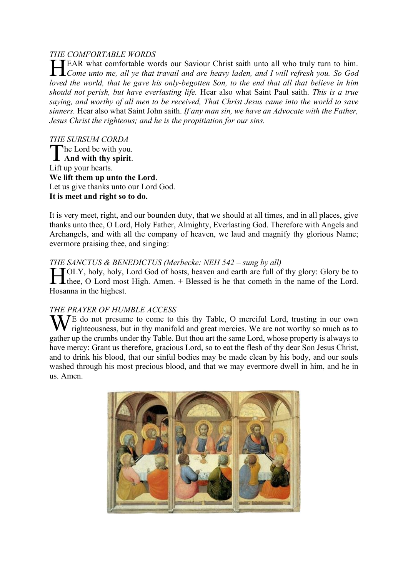#### *THE COMFORTABLE WORDS*

EAR what comfortable words our Saviour Christ saith unto all who truly turn to him.<br> *Come unto me, all ye that travail and are heavy laden, and I will refresh you. So God Come unto me, all ye that travail and are heavy laden, and I will refresh you. So God loved the world, that he gave his only-begotten Son, to the end that all that believe in him should not perish, but have everlasting life.* Hear also what Saint Paul saith. *This is a true saying, and worthy of all men to be received, That Christ Jesus came into the world to save sinners.* Hear also what Saint John saith. *If any man sin, we have an Advocate with the Father, Jesus Christ the righteous; and he is the propitiation for our sins.*

*THE SURSUM CORDA* he Lord be with you. The Lord be with you. Lift up your hearts. **We lift them up unto the Lord**. Let us give thanks unto our Lord God. **It is meet and right so to do.** 

It is very meet, right, and our bounden duty, that we should at all times, and in all places, give thanks unto thee, O Lord, Holy Father, Almighty, Everlasting God. Therefore with Angels and Archangels, and with all the company of heaven, we laud and magnify thy glorious Name; evermore praising thee, and singing:

#### *THE SANCTUS & BENEDICTUS (Merbecke: NEH 542 – sung by all)*

**THE STATE OF CONTRIGUES** (INTEGRATITY OF BRING BY any the start of the SINCH STATE) of the start are full of thy glory: Glory be to the cometh the name of the Lord. thee, O Lord most High. Amen. + Blessed is he that cometh in the name of the Lord. Hosanna in the highest.

#### *THE PRAYER OF HUMBLE ACCESS*

We do not presume to come to this thy Table, O merciful Lord, trusting in our own righteousness, but in thy manifold and great mercies. We are not worthy so much as to righteousness, but in thy manifold and great mercies. We are not worthy so much as to gather up the crumbs under thy Table. But thou art the same Lord, whose property is always to have mercy: Grant us therefore, gracious Lord, so to eat the flesh of thy dear Son Jesus Christ, and to drink his blood, that our sinful bodies may be made clean by his body, and our souls washed through his most precious blood, and that we may evermore dwell in him, and he in us. Amen.

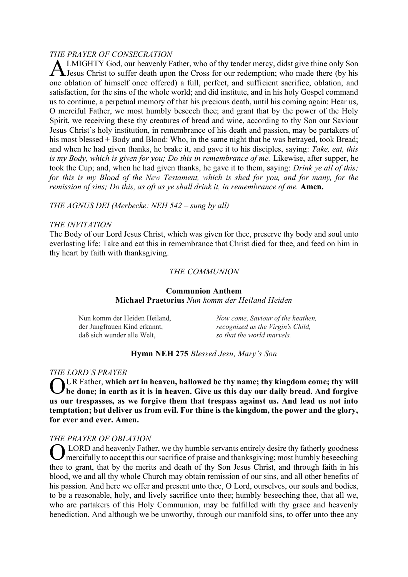#### *THE PRAYER OF CONSECRATION*

LMIGHTY God, our heavenly Father, who of thy tender mercy, didst give thine only Son Jesus Christ to suffer death upon the Cross for our redemption; who made there (by his one oblation of himself once offered) a full, perfect, and sufficient sacrifice, oblation, and satisfaction, for the sins of the whole world; and did institute, and in his holy Gospel command us to continue, a perpetual memory of that his precious death, until his coming again: Hear us, O merciful Father, we most humbly beseech thee; and grant that by the power of the Holy Spirit, we receiving these thy creatures of bread and wine, according to thy Son our Saviour Jesus Christ's holy institution, in remembrance of his death and passion, may be partakers of his most blessed + Body and Blood: Who, in the same night that he was betrayed, took Bread; and when he had given thanks, he brake it, and gave it to his disciples, saying: *Take, eat, this is my Body, which is given for you; Do this in remembrance of me. Likewise, after supper, he* took the Cup; and, when he had given thanks, he gave it to them, saying: *Drink ye all of this; for this is my Blood of the New Testament, which is shed for you, and for many, for the remission of sins; Do this, as oft as ye shall drink it, in remembrance of me.* Amen. A

*THE AGNUS DEI (Merbecke: NEH 542 – sung by all)*

#### *THE INVITATION*

The Body of our Lord Jesus Christ, which was given for thee, preserve thy body and soul unto everlasting life: Take and eat this in remembrance that Christ died for thee, and feed on him in thy heart by faith with thanksgiving.

#### *THE COMMUNION*

#### **Communion Anthem Michael Praetorius** *Nun komm der Heiland Heiden*

Nun komm der Heiden Heiland, der Jungfrauen Kind erkannt, daß sich wunder alle Welt,

*Now come, Saviour of the heathen, recognized as the Virgin's Child, so that the world marvels.*

#### **Hymn NEH 275** *Blessed Jesu, Mary's Son*

#### *THE LORD'S PRAYER*

OUR Father, which art in heaven, hallowed be thy name; thy kingdom come; thy will be done; in earth as it is in heaven. Give us this day our daily bread. And forgive **be done; in earth as it is in heaven. Give us this day our daily bread. And forgive us our trespasses, as we forgive them that trespass against us. And lead us not into temptation; but deliver us from evil. For thine is the kingdom, the power and the glory, for ever and ever. Amen.**

#### *THE PRAYER OF OBLATION*

LORD and heavenly Father, we thy humble servants entirely desire thy fatherly goodness mercifully to accept this our sacrifice of praise and thanksgiving; most humbly beseeching thee to grant, that by the merits and death of thy Son Jesus Christ, and through faith in his blood, we and all thy whole Church may obtain remission of our sins, and all other benefits of his passion. And here we offer and present unto thee, O Lord, ourselves, our souls and bodies, to be a reasonable, holy, and lively sacrifice unto thee; humbly beseeching thee, that all we, who are partakers of this Holy Communion, may be fulfilled with thy grace and heavenly benediction. And although we be unworthy, through our manifold sins, to offer unto thee any O